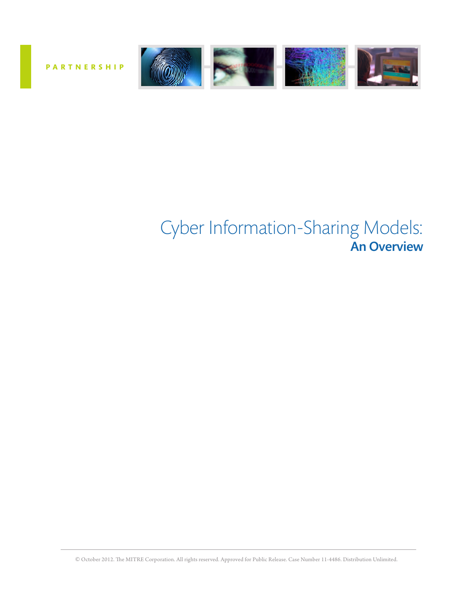

**PARTNERSHIP**

# Cyber Information-Sharing Models: An Overview

© October 2012. The MITRE Corporation. All rights reserved. Approved for Public Release. Case Number 11-4486. Distribution Unlimited.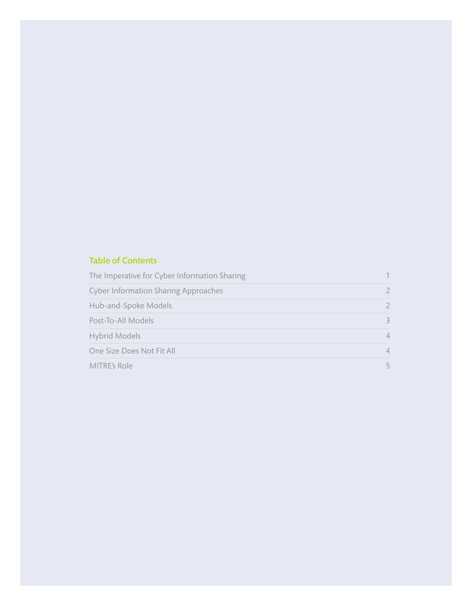#### Table of Contents

| The Imperative for Cyber Information Sharing |                |
|----------------------------------------------|----------------|
| <b>Cyber Information Sharing Approaches</b>  |                |
| Hub-and-Spoke Models                         | 2              |
| Post-To-All Models                           | $\mathcal{R}$  |
| Hybrid Models                                | 4              |
| One Size Does Not Fit All                    | $\overline{4}$ |
| MITRE's Role                                 | 5.             |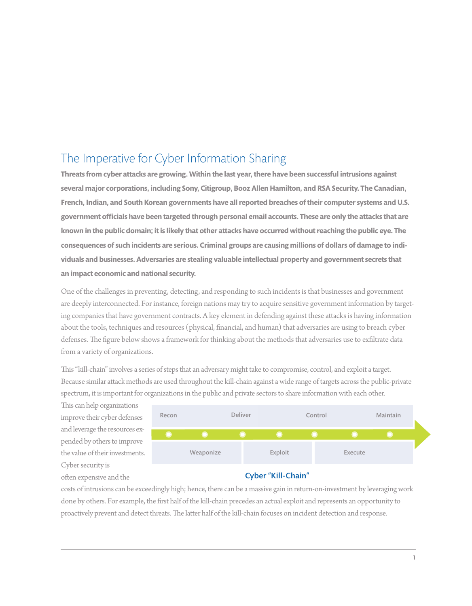## The Imperative for Cyber Information Sharing

**Threats from cyber attacks are growing. Within the last year, there have been successful intrusions against several major corporations, including Sony, Citigroup, Booz Allen Hamilton, and RSA Security. The Canadian, French, Indian, and South Korean governments have all reported breaches of their computer systems and U.S. government officials have been targeted through personal email accounts. These are only the attacks that are known in the public domain; it is likely that other attacks have occurred without reaching the public eye. The consequences of such incidents are serious. Criminal groups are causing millions of dollars of damage to individuals and businesses. Adversaries are stealing valuable intellectual property and government secrets that an impact economic and national security.** 

One of the challenges in preventing, detecting, and responding to such incidents is that businesses and government are deeply interconnected. For instance, foreign nations may try to acquire sensitive government information by targeting companies that have government contracts. A key element in defending against these attacks is having information about the tools, techniques and resources (physical, financial, and human) that adversaries are using to breach cyber defenses. The figure below shows a framework for thinking about the methods that adversaries use to exfiltrate data from a variety of organizations.

This "kill-chain" involves a series of steps that an adversary might take to compromise, control, and exploit a target. Because similar attack methods are used throughout the kill-chain against a wide range of targets across the public-private spectrum, it is important for organizations in the public and private sectors to share information with each other.

This can help organizations improve their cyber defenses and leverage the resources expended by others to improve the value of their investments. Cyber security is often expensive and the



#### Cyber "Kill-Chain"

costs of intrusions can be exceedingly high; hence, there can be a massive gain in return-on-investment by leveraging work done by others. For example, the first half of the kill-chain precedes an actual exploit and represents an opportunity to proactively prevent and detect threats. The latter half of the kill-chain focuses on incident detection and response.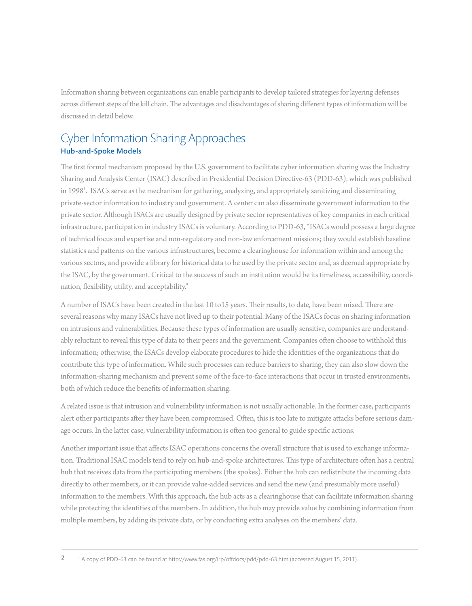Information sharing between organizations can enable participants to develop tailored strategies for layering defenses across different steps of the kill chain. The advantages and disadvantages of sharing different types of information will be discussed in detail below.

#### Cyber Information Sharing Approaches Hub-and-Spoke Models

The first formal mechanism proposed by the U.S. government to facilitate cyber information sharing was the Industry Sharing and Analysis Center (ISAC) described in Presidential Decision Directive-63 (PDD-63), which was published in 19981 . ISACs serve as the mechanism for gathering, analyzing, and appropriately sanitizing and disseminating private-sector information to industry and government. A center can also disseminate government information to the private sector. Although ISACs are usually designed by private sector representatives of key companies in each critical infrastructure, participation in industry ISACs is voluntary. According to PDD-63, "ISACs would possess a large degree of technical focus and expertise and non-regulatory and non-law enforcement missions; they would establish baseline statistics and patterns on the various infrastructures, become a clearinghouse for information within and among the various sectors, and provide a library for historical data to be used by the private sector and, as deemed appropriate by the ISAC, by the government. Critical to the success of such an institution would be its timeliness, accessibility, coordination, flexibility, utility, and acceptability."

A number of ISACs have been created in the last 10 to15 years. Their results, to date, have been mixed. There are several reasons why many ISACs have not lived up to their potential. Many of the ISACs focus on sharing information on intrusions and vulnerabilities. Because these types of information are usually sensitive, companies are understandably reluctant to reveal this type of data to their peers and the government. Companies often choose to withhold this information; otherwise, the ISACs develop elaborate procedures to hide the identities of the organizations that do contribute this type of information. While such processes can reduce barriers to sharing, they can also slow down the information-sharing mechanism and prevent some of the face-to-face interactions that occur in trusted environments, both of which reduce the benefits of information sharing.

A related issue is that intrusion and vulnerability information is not usually actionable. In the former case, participants alert other participants after they have been compromised. Often, this is too late to mitigate attacks before serious damage occurs. In the latter case, vulnerability information is often too general to guide specific actions.

Another important issue that affects ISAC operations concerns the overall structure that is used to exchange information. Traditional ISAC models tend to rely on hub-and-spoke architectures. This type of architecture often has a central hub that receives data from the participating members (the spokes). Either the hub can redistribute the incoming data directly to other members, or it can provide value-added services and send the new (and presumably more useful) information to the members. With this approach, the hub acts as a clearinghouse that can facilitate information sharing while protecting the identities of the members. In addition, the hub may provide value by combining information from multiple members, by adding its private data, or by conducting extra analyses on the members' data.

<sup>&</sup>lt;sup>1</sup> A copy of PDD-63 can be found at http://www.fas.org/irp/offdocs/pdd/pdd-63.htm (accessed August 15, 2011). **2**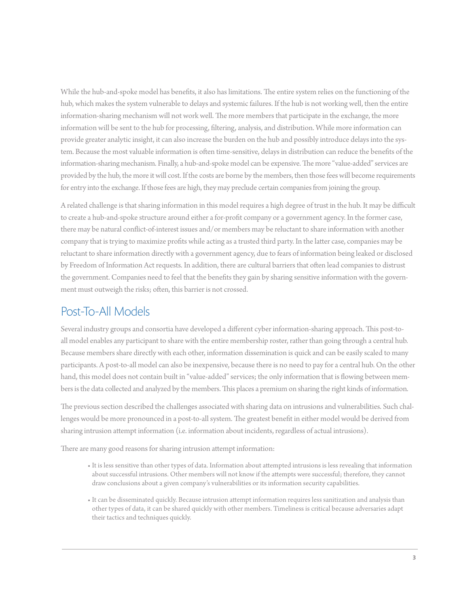While the hub-and-spoke model has benefits, it also has limitations. The entire system relies on the functioning of the hub, which makes the system vulnerable to delays and systemic failures. If the hub is not working well, then the entire information-sharing mechanism will not work well. The more members that participate in the exchange, the more information will be sent to the hub for processing, filtering, analysis, and distribution. While more information can provide greater analytic insight, it can also increase the burden on the hub and possibly introduce delays into the system. Because the most valuable information is often time-sensitive, delays in distribution can reduce the benefits of the information-sharing mechanism. Finally, a hub-and-spoke model can be expensive. The more "value-added" services are provided by the hub, the more it will cost. If the costs are borne by the members, then those fees will become requirements for entry into the exchange. If those fees are high, they may preclude certain companies from joining the group.

A related challenge is that sharing information in this model requires a high degree of trust in the hub. It may be difficult to create a hub-and-spoke structure around either a for-profit company or a government agency. In the former case, there may be natural conflict-of-interest issues and/or members may be reluctant to share information with another company that is trying to maximize profits while acting as a trusted third party. In the latter case, companies may be reluctant to share information directly with a government agency, due to fears of information being leaked or disclosed by Freedom of Information Act requests. In addition, there are cultural barriers that often lead companies to distrust the government. Companies need to feel that the benefits they gain by sharing sensitive information with the government must outweigh the risks; often, this barrier is not crossed.

### Post-To-All Models

Several industry groups and consortia have developed a different cyber information-sharing approach. This post-toall model enables any participant to share with the entire membership roster, rather than going through a central hub. Because members share directly with each other, information dissemination is quick and can be easily scaled to many participants. A post-to-all model can also be inexpensive, because there is no need to pay for a central hub. On the other hand, this model does not contain built in "value-added" services; the only information that is flowing between members is the data collected and analyzed by the members. This places a premium on sharing the right kinds of information.

The previous section described the challenges associated with sharing data on intrusions and vulnerabilities. Such challenges would be more pronounced in a post-to-all system. The greatest benefit in either model would be derived from sharing intrusion attempt information (i.e. information about incidents, regardless of actual intrusions).

There are many good reasons for sharing intrusion attempt information:

- It is less sensitive than other types of data. Information about attempted intrusions is less revealing that information about successful intrusions. Other members will not know if the attempts were successful; therefore, they cannot draw conclusions about a given company's vulnerabilities or its information security capabilities.
- It can be disseminated quickly. Because intrusion attempt information requires less sanitization and analysis than other types of data, it can be shared quickly with other members. Timeliness is critical because adversaries adapt their tactics and techniques quickly.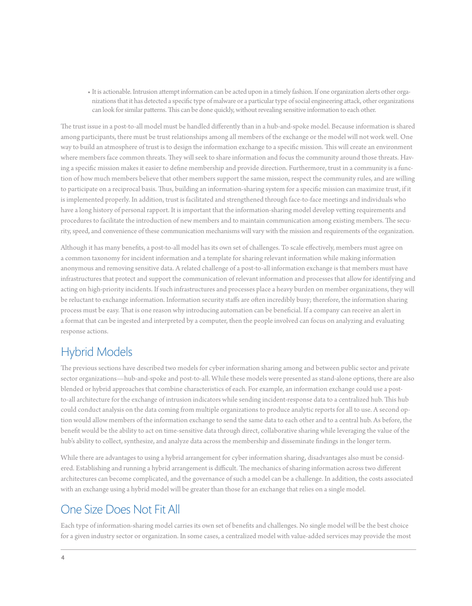• It is actionable. Intrusion attempt information can be acted upon in a timely fashion. If one organization alerts other organizations that it has detected a specific type of malware or a particular type of social engineering attack, other organizations can look for similar patterns. This can be done quickly, without revealing sensitive information to each other.

The trust issue in a post-to-all model must be handled differently than in a hub-and-spoke model. Because information is shared among participants, there must be trust relationships among all members of the exchange or the model will not work well. One way to build an atmosphere of trust is to design the information exchange to a specific mission. This will create an environment where members face common threats. They will seek to share information and focus the community around those threats. Having a specific mission makes it easier to define membership and provide direction. Furthermore, trust in a community is a function of how much members believe that other members support the same mission, respect the community rules, and are willing to participate on a reciprocal basis. Thus, building an information-sharing system for a specific mission can maximize trust, if it is implemented properly. In addition, trust is facilitated and strengthened through face-to-face meetings and individuals who have a long history of personal rapport. It is important that the information-sharing model develop vetting requirements and procedures to facilitate the introduction of new members and to maintain communication among existing members. The security, speed, and convenience of these communication mechanisms will vary with the mission and requirements of the organization.

Although it has many benefits, a post-to-all model has its own set of challenges. To scale effectively, members must agree on a common taxonomy for incident information and a template for sharing relevant information while making information anonymous and removing sensitive data. A related challenge of a post-to-all information exchange is that members must have infrastructures that protect and support the communication of relevant information and processes that allow for identifying and acting on high-priority incidents. If such infrastructures and processes place a heavy burden on member organizations, they will be reluctant to exchange information. Information security staffs are often incredibly busy; therefore, the information sharing process must be easy. That is one reason why introducing automation can be beneficial. If a company can receive an alert in a format that can be ingested and interpreted by a computer, then the people involved can focus on analyzing and evaluating response actions.

### Hybrid Models

The previous sections have described two models for cyber information sharing among and between public sector and private sector organizations—hub-and-spoke and post-to-all. While these models were presented as stand-alone options, there are also blended or hybrid approaches that combine characteristics of each. For example, an information exchange could use a postto-all architecture for the exchange of intrusion indicators while sending incident-response data to a centralized hub. This hub could conduct analysis on the data coming from multiple organizations to produce analytic reports for all to use. A second option would allow members of the information exchange to send the same data to each other and to a central hub. As before, the benefit would be the ability to act on time-sensitive data through direct, collaborative sharing while leveraging the value of the hub's ability to collect, synthesize, and analyze data across the membership and disseminate findings in the longer term.

While there are advantages to using a hybrid arrangement for cyber information sharing, disadvantages also must be considered. Establishing and running a hybrid arrangement is difficult. The mechanics of sharing information across two different architectures can become complicated, and the governance of such a model can be a challenge. In addition, the costs associated with an exchange using a hybrid model will be greater than those for an exchange that relies on a single model.

#### One Size Does Not Fit All

Each type of information-sharing model carries its own set of benefits and challenges. No single model will be the best choice for a given industry sector or organization. In some cases, a centralized model with value-added services may provide the most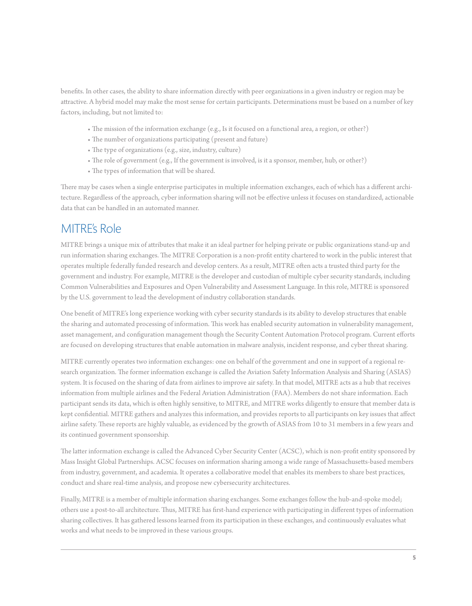benefits. In other cases, the ability to share information directly with peer organizations in a given industry or region may be attractive. A hybrid model may make the most sense for certain participants. Determinations must be based on a number of key factors, including, but not limited to:

- The mission of the information exchange (e.g., Is it focused on a functional area, a region, or other?)
- The number of organizations participating (present and future)
- The type of organizations (e.g., size, industry, culture)
- The role of government (e.g., If the government is involved, is it a sponsor, member, hub, or other?)
- The types of information that will be shared.

There may be cases when a single enterprise participates in multiple information exchanges, each of which has a different architecture. Regardless of the approach, cyber information sharing will not be effective unless it focuses on standardized, actionable data that can be handled in an automated manner.

#### MITRE's Role

MITRE brings a unique mix of attributes that make it an ideal partner for helping private or public organizations stand-up and run information sharing exchanges. The MITRE Corporation is a non-profit entity chartered to work in the public interest that operates multiple federally funded research and develop centers. As a result, MITRE often acts a trusted third party for the government and industry. For example, MITRE is the developer and custodian of multiple cyber security standards, including Common Vulnerabilities and Exposures and Open Vulnerability and Assessment Language. In this role, MITRE is sponsored by the U.S. government to lead the development of industry collaboration standards.

One benefit of MITRE's long experience working with cyber security standards is its ability to develop structures that enable the sharing and automated processing of information. This work has enabled security automation in vulnerability management, asset management, and configuration management though the Security Content Automation Protocol program. Current efforts are focused on developing structures that enable automation in malware analysis, incident response, and cyber threat sharing.

MITRE currently operates two information exchanges: one on behalf of the government and one in support of a regional research organization. The former information exchange is called the Aviation Safety Information Analysis and Sharing (ASIAS) system. It is focused on the sharing of data from airlines to improve air safety. In that model, MITRE acts as a hub that receives information from multiple airlines and the Federal Aviation Administration (FAA). Members do not share information. Each participant sends its data, which is often highly sensitive, to MITRE, and MITRE works diligently to ensure that member data is kept confidential. MITRE gathers and analyzes this information, and provides reports to all participants on key issues that affect airline safety. These reports are highly valuable, as evidenced by the growth of ASIAS from 10 to 31 members in a few years and its continued government sponsorship.

The latter information exchange is called the Advanced Cyber Security Center (ACSC), which is non-profit entity sponsored by Mass Insight Global Partnerships. ACSC focuses on information sharing among a wide range of Massachusetts-based members from industry, government, and academia. It operates a collaborative model that enables its members to share best practices, conduct and share real-time analysis, and propose new cybersecurity architectures.

Finally, MITRE is a member of multiple information sharing exchanges. Some exchanges follow the hub-and-spoke model; others use a post-to-all architecture. Thus, MITRE has first-hand experience with participating in different types of information sharing collectives. It has gathered lessons learned from its participation in these exchanges, and continuously evaluates what works and what needs to be improved in these various groups.